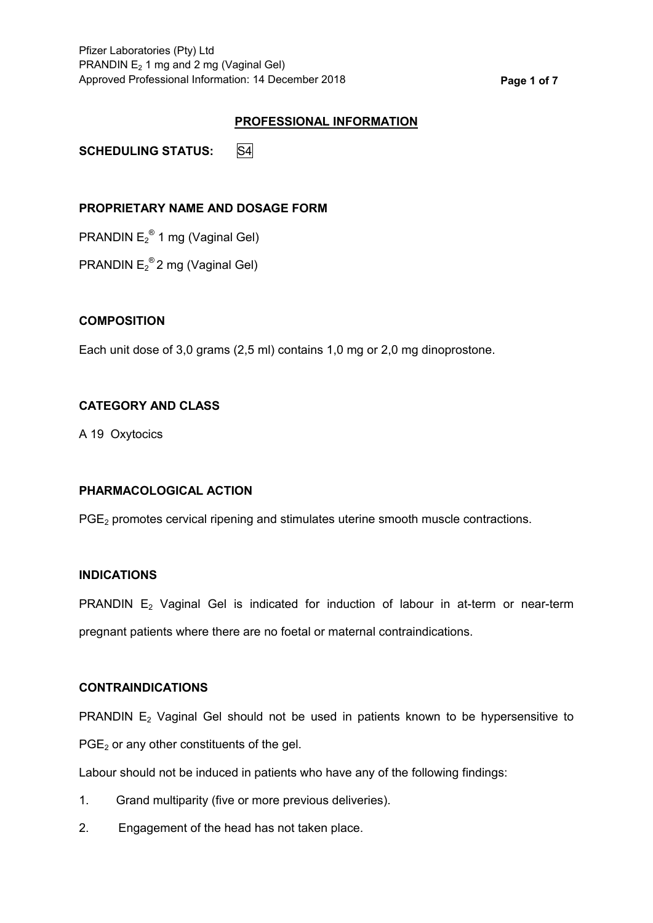# **PROFESSIONAL INFORMATION**

**SCHEDULING STATUS: S4** 

# **PROPRIETARY NAME AND DOSAGE FORM**

PRANDIN  $E_2^{\otimes}$  1 mg (Vaginal Gel)

PRANDIN  $E_2^{\circledast}$ 2 mg (Vaginal Gel)

# **COMPOSITION**

Each unit dose of 3,0 grams (2,5 ml) contains 1,0 mg or 2,0 mg dinoprostone.

# **CATEGORY AND CLASS**

A 19 Oxytocics

# **PHARMACOLOGICAL ACTION**

PGE<sub>2</sub> promotes cervical ripening and stimulates uterine smooth muscle contractions.

#### **INDICATIONS**

PRANDIN  $E_2$  Vaginal Gel is indicated for induction of labour in at-term or near-term pregnant patients where there are no foetal or maternal contraindications.

#### **CONTRAINDICATIONS**

PRANDIN  $E_2$  Vaginal Gel should not be used in patients known to be hypersensitive to  $PGE<sub>2</sub>$  or any other constituents of the gel.

Labour should not be induced in patients who have any of the following findings:

- 1. Grand multiparity (five or more previous deliveries).
- 2. Engagement of the head has not taken place.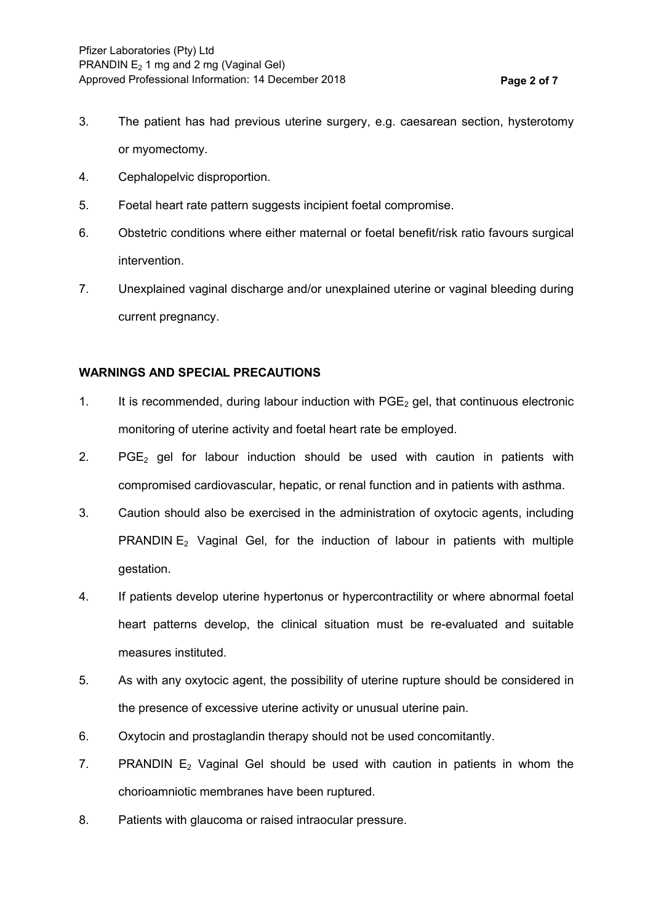- 3. The patient has had previous uterine surgery, e.g. caesarean section, hysterotomy or myomectomy.
- 4. Cephalopelvic disproportion.
- 5. Foetal heart rate pattern suggests incipient foetal compromise.
- 6. Obstetric conditions where either maternal or foetal benefit/risk ratio favours surgical intervention.
- 7. Unexplained vaginal discharge and/or unexplained uterine or vaginal bleeding during current pregnancy.

# **WARNINGS AND SPECIAL PRECAUTIONS**

- 1. It is recommended, during labour induction with  $PGE<sub>2</sub>$  gel, that continuous electronic monitoring of uterine activity and foetal heart rate be employed.
- 2. PGE<sub>2</sub> gel for labour induction should be used with caution in patients with compromised cardiovascular, hepatic, or renal function and in patients with asthma.
- 3. Caution should also be exercised in the administration of oxytocic agents, including PRANDIN  $E_2$  Vaginal Gel, for the induction of labour in patients with multiple gestation.
- 4. If patients develop uterine hypertonus or hypercontractility or where abnormal foetal heart patterns develop, the clinical situation must be re-evaluated and suitable measures instituted.
- 5. As with any oxytocic agent, the possibility of uterine rupture should be considered in the presence of excessive uterine activity or unusual uterine pain.
- 6. Oxytocin and prostaglandin therapy should not be used concomitantly.
- 7. PRANDIN  $E_2$  Vaginal Gel should be used with caution in patients in whom the chorioamniotic membranes have been ruptured.
- 8. Patients with glaucoma or raised intraocular pressure.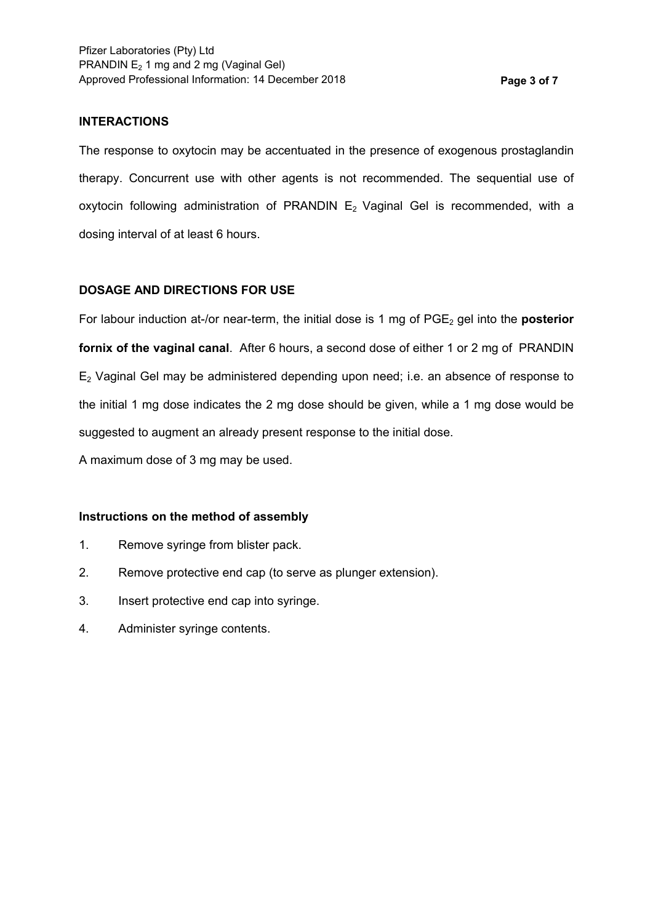# **INTERACTIONS**

The response to oxytocin may be accentuated in the presence of exogenous prostaglandin therapy. Concurrent use with other agents is not recommended. The sequential use of oxytocin following administration of PRANDIN  $E_2$  Vaginal Gel is recommended, with a dosing interval of at least 6 hours.

# **DOSAGE AND DIRECTIONS FOR USE**

For labour induction at-/or near-term, the initial dose is 1 mg of PGE<sub>2</sub> gel into the **posterior fornix of the vaginal canal**. After 6 hours, a second dose of either 1 or 2 mg of PRANDIN  $E_2$  Vaginal Gel may be administered depending upon need; i.e. an absence of response to the initial 1 mg dose indicates the 2 mg dose should be given, while a 1 mg dose would be suggested to augment an already present response to the initial dose.

A maximum dose of 3 mg may be used.

#### **Instructions on the method of assembly**

- 1. Remove syringe from blister pack.
- 2. Remove protective end cap (to serve as plunger extension).
- 3. Insert protective end cap into syringe.
- 4. Administer syringe contents.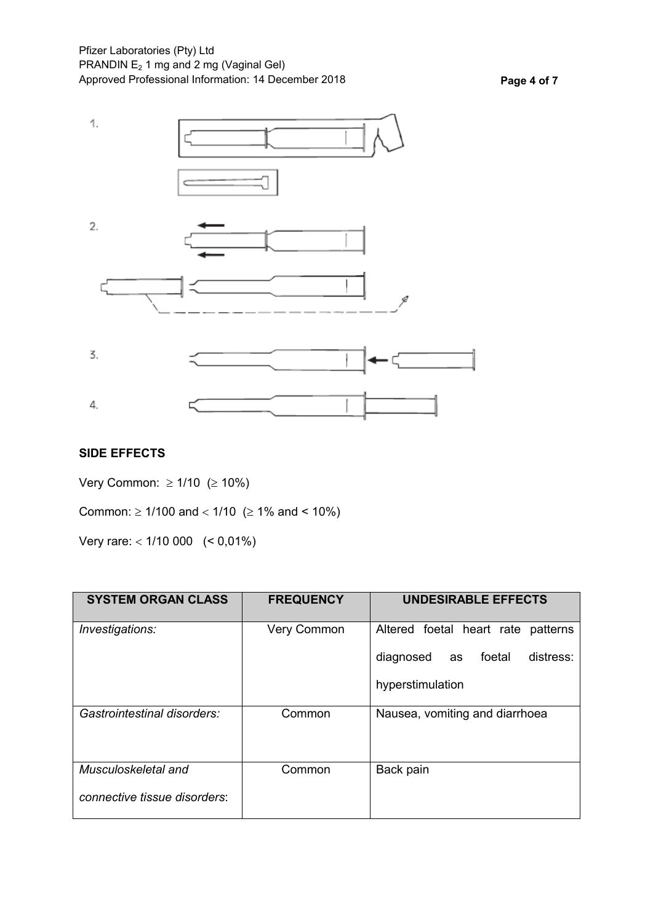



# **SIDE EFFECTS**

Very Common:  $\geq 1/10$  ( $\geq 10\%$ )

Common:  $\geq 1/100$  and  $< 1/10$  ( $\geq 1\%$  and  $< 10\%$ )

Very rare: 1/10 000 (< 0,01%)

| <b>SYSTEM ORGAN CLASS</b>    | <b>FREQUENCY</b> | <b>UNDESIRABLE EFFECTS</b>             |
|------------------------------|------------------|----------------------------------------|
| Investigations:              | Very Common      | Altered foetal heart rate<br>patterns  |
|                              |                  | distress:<br>diagnosed<br>foetal<br>as |
|                              |                  | hyperstimulation                       |
| Gastrointestinal disorders:  | Common           | Nausea, vomiting and diarrhoea         |
| Musculoskeletal and          | Common           | Back pain                              |
| connective tissue disorders: |                  |                                        |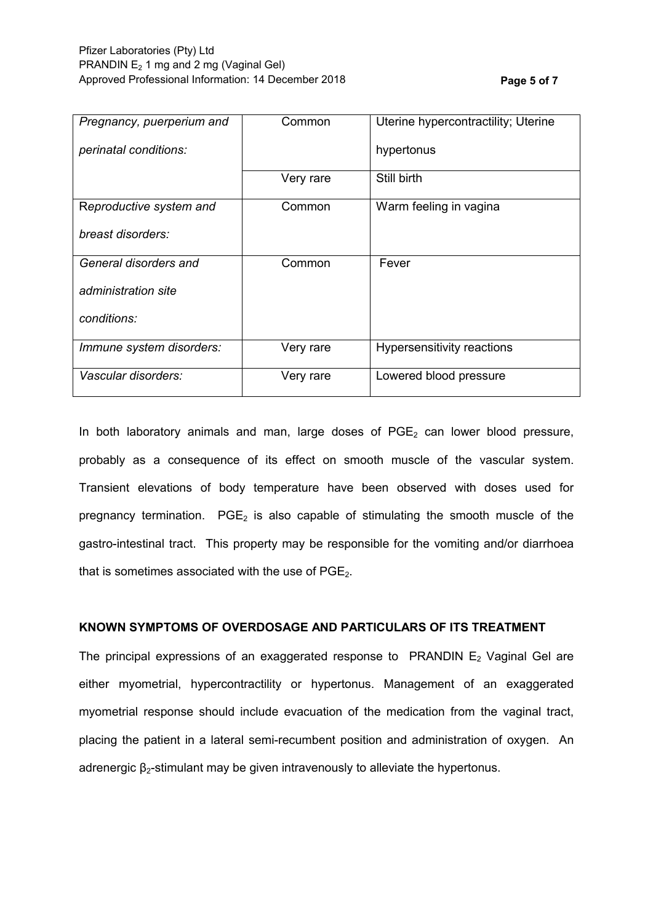| Page 5 of 7 |  |  |
|-------------|--|--|
|             |  |  |

| Pregnancy, puerperium and | Common    | Uterine hypercontractility; Uterine |
|---------------------------|-----------|-------------------------------------|
| perinatal conditions:     |           | hypertonus                          |
|                           | Very rare | Still birth                         |
| Reproductive system and   | Common    | Warm feeling in vagina              |
| breast disorders:         |           |                                     |
| General disorders and     | Common    | Fever                               |
| administration site       |           |                                     |
| conditions:               |           |                                     |
| Immune system disorders:  | Very rare | Hypersensitivity reactions          |
| Vascular disorders:       | Very rare | Lowered blood pressure              |

In both laboratory animals and man, large doses of  $PGE<sub>2</sub>$  can lower blood pressure, probably as a consequence of its effect on smooth muscle of the vascular system. Transient elevations of body temperature have been observed with doses used for pregnancy termination.  $PGE_2$  is also capable of stimulating the smooth muscle of the gastro-intestinal tract. This property may be responsible for the vomiting and/or diarrhoea that is sometimes associated with the use of  $PGE<sub>2</sub>$ .

#### **KNOWN SYMPTOMS OF OVERDOSAGE AND PARTICULARS OF ITS TREATMENT**

The principal expressions of an exaggerated response to PRANDIN  $E_2$  Vaginal Gel are either myometrial, hypercontractility or hypertonus. Management of an exaggerated myometrial response should include evacuation of the medication from the vaginal tract, placing the patient in a lateral semi-recumbent position and administration of oxygen. An adrenergic  $\beta_2$ -stimulant may be given intravenously to alleviate the hypertonus.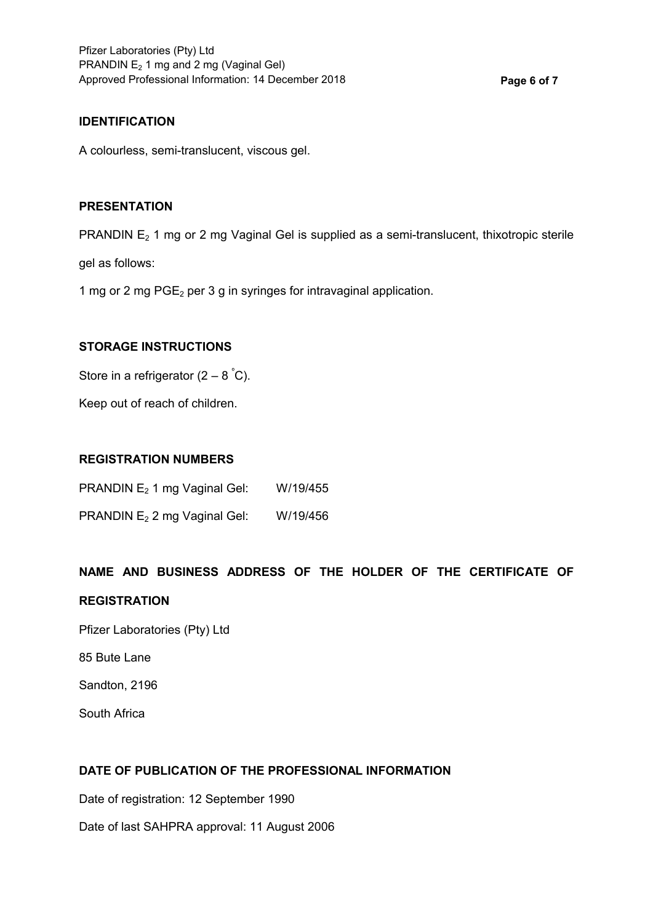# **IDENTIFICATION**

A colourless, semi-translucent, viscous gel.

#### **PRESENTATION**

PRANDIN  $E_2$  1 mg or 2 mg Vaginal Gel is supplied as a semi-translucent, thixotropic sterile

gel as follows:

1 mg or 2 mg  $PGE_2$  per 3 g in syringes for intravaginal application.

#### **STORAGE INSTRUCTIONS**

Store in a refrigerator  $(2 - 8 \degree C)$ .

Keep out of reach of children.

#### **REGISTRATION NUMBERS**

| PRANDIN $E_2$ 1 mg Vaginal Gel: | W/19/455 |
|---------------------------------|----------|
|---------------------------------|----------|

PRANDIN E<sub>2</sub> 2 mg Vaginal Gel: W/19/456

# **NAME AND BUSINESS ADDRESS OF THE HOLDER OF THE CERTIFICATE OF**

# **REGISTRATION**

Pfizer Laboratories (Pty) Ltd

85 Bute Lane

Sandton, 2196

South Africa

#### **DATE OF PUBLICATION OF THE PROFESSIONAL INFORMATION**

Date of registration: 12 September 1990 Date of last SAHPRA approval: 11 August 2006